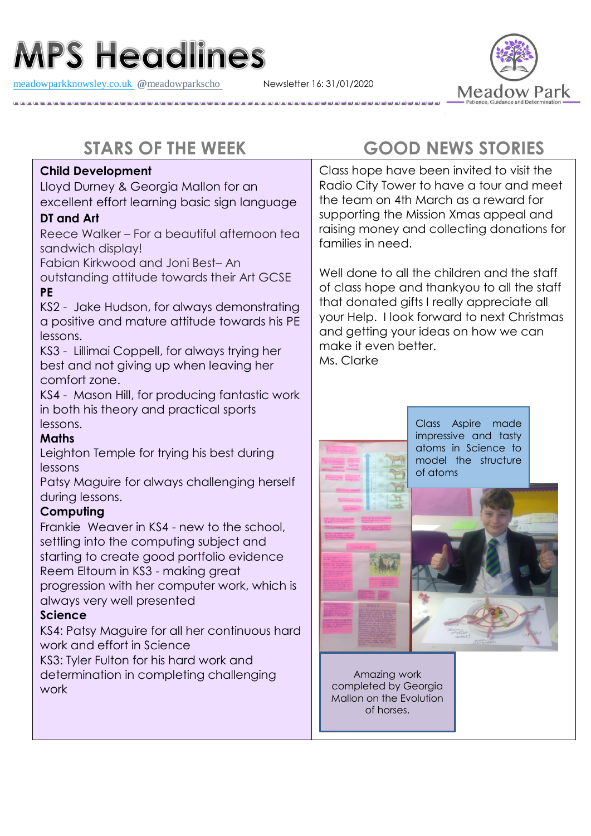# **MPS Headlines**

[meadowparkknowsley.co.uk](https://t.co/znDDto23ds) **@**[meadowparkscho](https://twitter.com/meadowparkscho) Newsletter 16: 31/01/2020



#### **Child Development**

Lloyd Durney & Georgia Mallon for an excellent effort learning basic sign language

#### **DT and Art**

Reece Walker – For a beautiful afternoon tea sandwich display!

Fabian Kirkwood and Joni Best– An

outstanding attitude towards their Art GCSE **PE**

KS2 - Jake Hudson, for always demonstrating a positive and mature attitude towards his PE lessons.

KS3 - Lillimai Coppell, for always trying her best and not giving up when leaving her comfort zone.

KS4 - Mason Hill, for producing fantastic work in both his theory and practical sports lessons.

#### **Maths**

Leighton Temple for trying his best during lessons

Patsy Maguire for always challenging herself during lessons.

#### **Computing**

Frankie Weaver in KS4 - new to the school, settling into the computing subject and starting to create good portfolio evidence Reem Eltoum in KS3 - making great progression with her computer work, which is always very well presented

#### **Science**

KS4: Patsy Maguire for all her continuous hard work and effort in Science

KS3: Tyler Fulton for his hard work and determination in completing challenging work

## **STARS OF THE WEEK GOOD NEWS STORIES**

Class hope have been invited to visit the Radio City Tower to have a tour and meet the team on 4th March as a reward for supporting the Mission Xmas appeal and raising money and collecting donations for families in need.

Well done to all the children and the staff of class hope and thankyou to all the staff that donated gifts I really appreciate all your Help. I look forward to next Christmas and getting your ideas on how we can make it even better. Ms. Clarke



Class Aspire made impressive and tasty atoms in Science to model the structure of atoms



Amazing work completed by Georgia Mallon on the Evolution of horses.

 $\overline{a}$